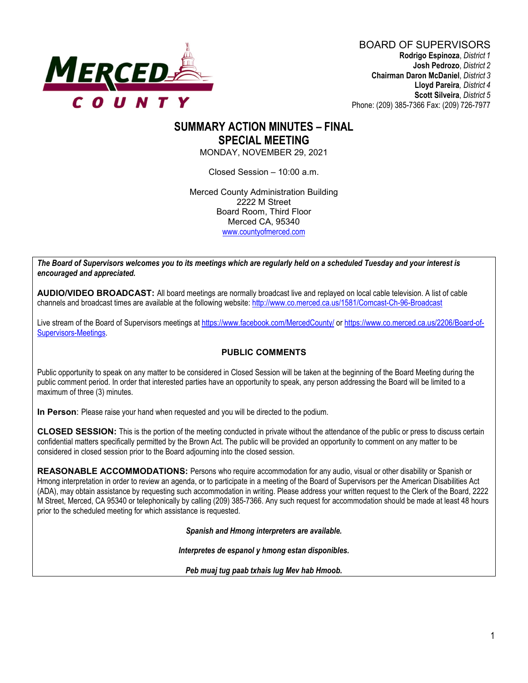

#### BOARD OF SUPERVISORS **Rodrigo Espinoza**, *District 1* **Josh Pedrozo**, *District 2* **Chairman Daron McDaniel**, *District 3* **Lloyd Pareira***, District 4* **Scott Silveira**, *District 5* Phone: (209) 385-7366 Fax: (209) 726-7977

# **SUMMARY ACTION MINUTES – FINAL SPECIAL MEETING**

MONDAY, NOVEMBER 29, 2021

Closed Session – 10:00 a.m.

Merced County Administration Building 2222 M Street Board Room, Third Floor Merced CA, 95340 [www.countyofmerced.com](http://www.countyofmerced.com/)

*The Board of Supervisors welcomes you to its meetings which are regularly held on a scheduled Tuesday and your interest is encouraged and appreciated.*

**AUDIO/VIDEO BROADCAST:** All board meetings are normally broadcast live and replayed on local cable television. A list of cable channels and broadcast times are available at the following website[: http://www.co.merced.ca.us/1581/Comcast-Ch-96-Broadcast](http://www.co.merced.ca.us/1581/Comcast-Ch-96-Broadcast)

Live stream of the Board of Supervisors meetings at [https://www.facebook.com/MercedCounty/](http://www.facebook.com/MercedCounty/) o[r https://www.co.merced.ca.us/2206/Board-of-](http://www.co.merced.ca.us/2206/Board-of-)Supervisors-Meetings.

#### **PUBLIC COMMENTS**

Public opportunity to speak on any matter to be considered in Closed Session will be taken at the beginning of the Board Meeting during the public comment period. In order that interested parties have an opportunity to speak, any person addressing the Board will be limited to a maximum of three (3) minutes.

**In Person**: Please raise your hand when requested and you will be directed to the podium.

**CLOSED SESSION:** This is the portion of the meeting conducted in private without the attendance of the public or press to discuss certain confidential matters specifically permitted by the Brown Act. The public will be provided an opportunity to comment on any matter to be considered in closed session prior to the Board adjourning into the closed session.

**REASONABLE ACCOMMODATIONS:** Persons who require accommodation for any audio, visual or other disability or Spanish or Hmong interpretation in order to review an agenda, or to participate in a meeting of the Board of Supervisors per the American Disabilities Act (ADA), may obtain assistance by requesting such accommodation in writing. Please address your written request to the Clerk of the Board, 2222 M Street, Merced, CA 95340 or telephonically by calling (209) 385-7366. Any such request for accommodation should be made at least 48 hours prior to the scheduled meeting for which assistance is requested.

*Spanish and Hmong interpreters are available.* 

*Interpretes de espanol y hmong estan disponibles.* 

*Peb muaj tug paab txhais lug Mev hab Hmoob.*